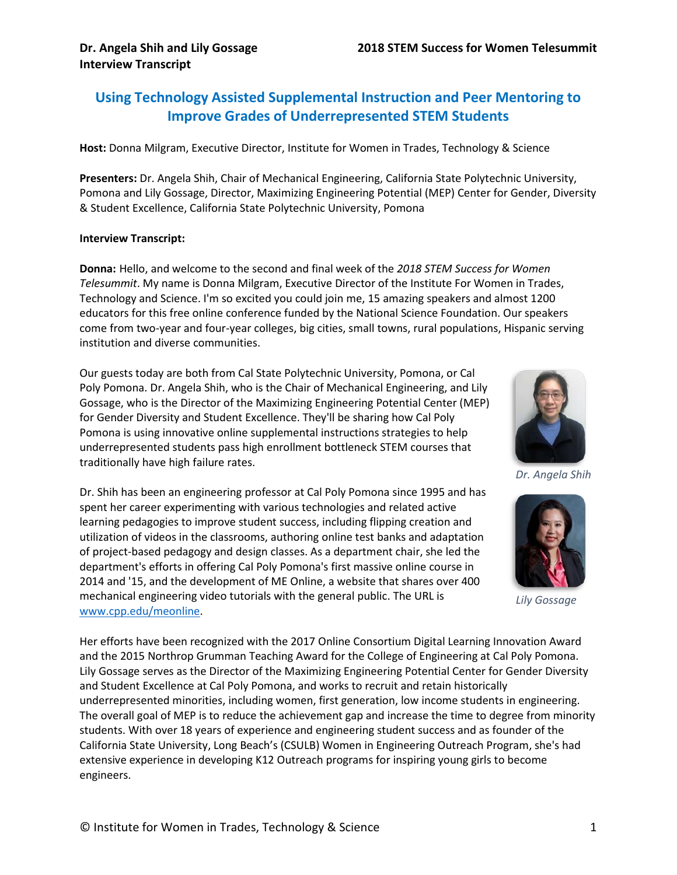#### **Using Technology Assisted Supplemental Instruction and Peer Mentoring to Improve Grades of Underrepresented STEM Students**

**Host:** Donna Milgram, Executive Director, Institute for Women in Trades, Technology & Science

**Presenters:** Dr. Angela Shih, Chair of Mechanical Engineering, California State Polytechnic University, Pomona and Lily Gossage, Director, Maximizing Engineering Potential (MEP) Center for Gender, Diversity & Student Excellence, California State Polytechnic University, Pomona

#### **Interview Transcript:**

**Donna:** Hello, and welcome to the second and final week of the *2018 STEM Success for Women Telesummit*. My name is Donna Milgram, Executive Director of the Institute For Women in Trades, Technology and Science. I'm so excited you could join me, 15 amazing speakers and almost 1200 educators for this free online conference funded by the National Science Foundation. Our speakers come from two-year and four-year colleges, big cities, small towns, rural populations, Hispanic serving institution and diverse communities.

Our guests today are both from Cal State Polytechnic University, Pomona, or Cal Poly Pomona. Dr. Angela Shih, who is the Chair of Mechanical Engineering, and Lily Gossage, who is the Director of the Maximizing Engineering Potential Center (MEP) for Gender Diversity and Student Excellence. They'll be sharing how Cal Poly Pomona is using innovative online supplemental instructions strategies to help underrepresented students pass high enrollment bottleneck STEM courses that traditionally have high failure rates.

Dr. Shih has been an engineering professor at Cal Poly Pomona since 1995 and has spent her career experimenting with various technologies and related active learning pedagogies to improve student success, including flipping creation and utilization of videos in the classrooms, authoring online test banks and adaptation of project-based pedagogy and design classes. As a department chair, she led the department's efforts in offering Cal Poly Pomona's first massive online course in 2014 and '15, and the development of ME Online, a website that shares over 400 mechanical engineering video tutorials with the general public. The URL is www.cpp.edu/meonline.

Her efforts have been recognized with the 2017 Online Consortium Digital Learning Innovation Award and the 2015 Northrop Grumman Teaching Award for the College of Engineering at Cal Poly Pomona. Lily Gossage serves as the Director of the Maximizing Engineering Potential Center for Gender Diversity and Student Excellence at Cal Poly Pomona, and works to recruit and retain historically underrepresented minorities, including women, first generation, low income students in engineering. The overall goal of MEP is to reduce the achievement gap and increase the time to degree from minority students. With over 18 years of experience and engineering student success and as founder of the California State University, Long Beach's (CSULB) Women in Engineering Outreach Program, she's had extensive experience in developing K12 Outreach programs for inspiring young girls to become engineers.



*Dr. Angela Shih*



*Lily Gossage*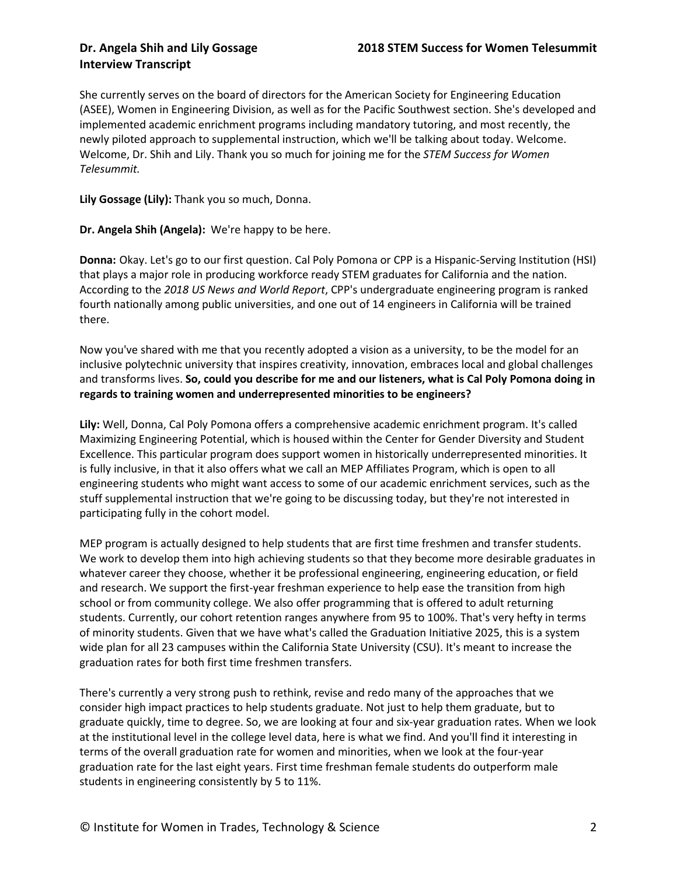She currently serves on the board of directors for the American Society for Engineering Education (ASEE), Women in Engineering Division, as well as for the Pacific Southwest section. She's developed and implemented academic enrichment programs including mandatory tutoring, and most recently, the newly piloted approach to supplemental instruction, which we'll be talking about today. Welcome. Welcome, Dr. Shih and Lily. Thank you so much for joining me for the *STEM Success for Women Telesummit.*

**Lily Gossage (Lily):** Thank you so much, Donna.

**Dr. Angela Shih (Angela):** We're happy to be here.

**Donna:** Okay. Let's go to our first question. Cal Poly Pomona or CPP is a Hispanic-Serving Institution (HSI) that plays a major role in producing workforce ready STEM graduates for California and the nation. According to the *2018 US News and World Report*, CPP's undergraduate engineering program is ranked fourth nationally among public universities, and one out of 14 engineers in California will be trained there.

Now you've shared with me that you recently adopted a vision as a university, to be the model for an inclusive polytechnic university that inspires creativity, innovation, embraces local and global challenges and transforms lives. **So, could you describe for me and our listeners, what is Cal Poly Pomona doing in regards to training women and underrepresented minorities to be engineers?**

**Lily:** Well, Donna, Cal Poly Pomona offers a comprehensive academic enrichment program. It's called Maximizing Engineering Potential, which is housed within the Center for Gender Diversity and Student Excellence. This particular program does support women in historically underrepresented minorities. It is fully inclusive, in that it also offers what we call an MEP Affiliates Program, which is open to all engineering students who might want access to some of our academic enrichment services, such as the stuff supplemental instruction that we're going to be discussing today, but they're not interested in participating fully in the cohort model.

MEP program is actually designed to help students that are first time freshmen and transfer students. We work to develop them into high achieving students so that they become more desirable graduates in whatever career they choose, whether it be professional engineering, engineering education, or field and research. We support the first-year freshman experience to help ease the transition from high school or from community college. We also offer programming that is offered to adult returning students. Currently, our cohort retention ranges anywhere from 95 to 100%. That's very hefty in terms of minority students. Given that we have what's called the Graduation Initiative 2025, this is a system wide plan for all 23 campuses within the California State University (CSU). It's meant to increase the graduation rates for both first time freshmen transfers.

There's currently a very strong push to rethink, revise and redo many of the approaches that we consider high impact practices to help students graduate. Not just to help them graduate, but to graduate quickly, time to degree. So, we are looking at four and six-year graduation rates. When we look at the institutional level in the college level data, here is what we find. And you'll find it interesting in terms of the overall graduation rate for women and minorities, when we look at the four-year graduation rate for the last eight years. First time freshman female students do outperform male students in engineering consistently by 5 to 11%.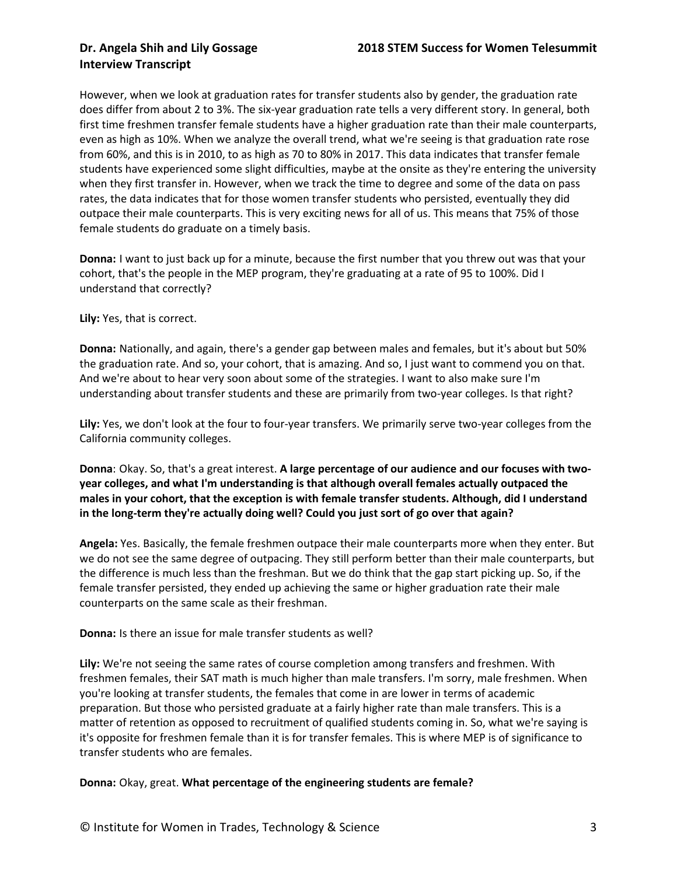However, when we look at graduation rates for transfer students also by gender, the graduation rate does differ from about 2 to 3%. The six-year graduation rate tells a very different story. In general, both first time freshmen transfer female students have a higher graduation rate than their male counterparts, even as high as 10%. When we analyze the overall trend, what we're seeing is that graduation rate rose from 60%, and this is in 2010, to as high as 70 to 80% in 2017. This data indicates that transfer female students have experienced some slight difficulties, maybe at the onsite as they're entering the university when they first transfer in. However, when we track the time to degree and some of the data on pass rates, the data indicates that for those women transfer students who persisted, eventually they did outpace their male counterparts. This is very exciting news for all of us. This means that 75% of those female students do graduate on a timely basis.

**Donna:** I want to just back up for a minute, because the first number that you threw out was that your cohort, that's the people in the MEP program, they're graduating at a rate of 95 to 100%. Did I understand that correctly?

**Lily:** Yes, that is correct.

**Donna:** Nationally, and again, there's a gender gap between males and females, but it's about but 50% the graduation rate. And so, your cohort, that is amazing. And so, I just want to commend you on that. And we're about to hear very soon about some of the strategies. I want to also make sure I'm understanding about transfer students and these are primarily from two-year colleges. Is that right?

**Lily:** Yes, we don't look at the four to four-year transfers. We primarily serve two-year colleges from the California community colleges.

**Donna**: Okay. So, that's a great interest. **A large percentage of our audience and our focuses with twoyear colleges, and what I'm understanding is that although overall females actually outpaced the males in your cohort, that the exception is with female transfer students. Although, did I understand in the long-term they're actually doing well? Could you just sort of go over that again?**

**Angela:** Yes. Basically, the female freshmen outpace their male counterparts more when they enter. But we do not see the same degree of outpacing. They still perform better than their male counterparts, but the difference is much less than the freshman. But we do think that the gap start picking up. So, if the female transfer persisted, they ended up achieving the same or higher graduation rate their male counterparts on the same scale as their freshman.

**Donna:** Is there an issue for male transfer students as well?

**Lily:** We're not seeing the same rates of course completion among transfers and freshmen. With freshmen females, their SAT math is much higher than male transfers. I'm sorry, male freshmen. When you're looking at transfer students, the females that come in are lower in terms of academic preparation. But those who persisted graduate at a fairly higher rate than male transfers. This is a matter of retention as opposed to recruitment of qualified students coming in. So, what we're saying is it's opposite for freshmen female than it is for transfer females. This is where MEP is of significance to transfer students who are females.

**Donna:** Okay, great. **What percentage of the engineering students are female?**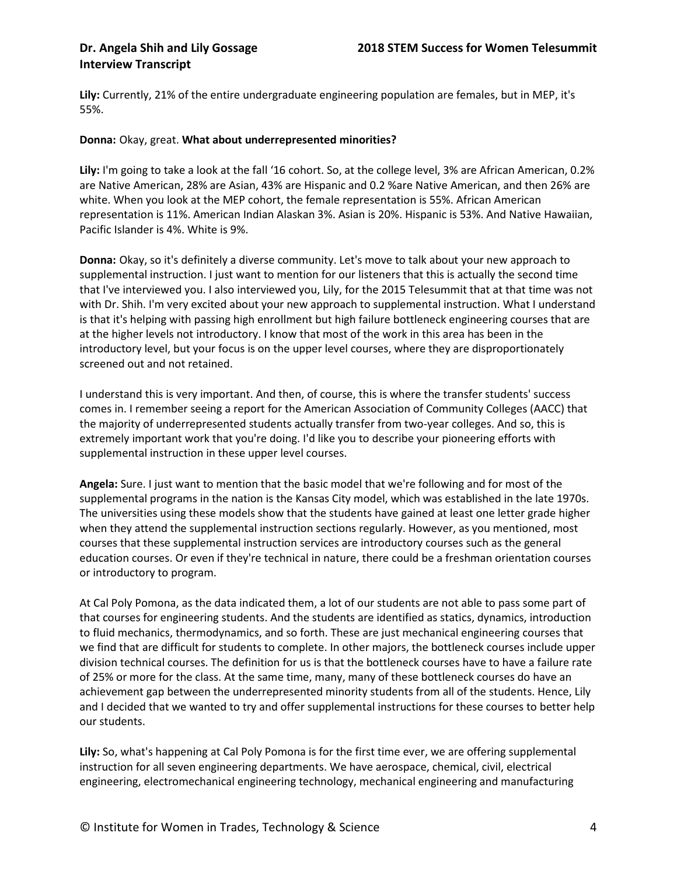**Lily:** Currently, 21% of the entire undergraduate engineering population are females, but in MEP, it's 55%.

#### **Donna:** Okay, great. **What about underrepresented minorities?**

**Lily:** I'm going to take a look at the fall '16 cohort. So, at the college level, 3% are African American, 0.2% are Native American, 28% are Asian, 43% are Hispanic and 0.2 %are Native American, and then 26% are white. When you look at the MEP cohort, the female representation is 55%. African American representation is 11%. American Indian Alaskan 3%. Asian is 20%. Hispanic is 53%. And Native Hawaiian, Pacific Islander is 4%. White is 9%.

**Donna:** Okay, so it's definitely a diverse community. Let's move to talk about your new approach to supplemental instruction. I just want to mention for our listeners that this is actually the second time that I've interviewed you. I also interviewed you, Lily, for the 2015 Telesummit that at that time was not with Dr. Shih. I'm very excited about your new approach to supplemental instruction. What I understand is that it's helping with passing high enrollment but high failure bottleneck engineering courses that are at the higher levels not introductory. I know that most of the work in this area has been in the introductory level, but your focus is on the upper level courses, where they are disproportionately screened out and not retained.

I understand this is very important. And then, of course, this is where the transfer students' success comes in. I remember seeing a report for the American Association of Community Colleges (AACC) that the majority of underrepresented students actually transfer from two-year colleges. And so, this is extremely important work that you're doing. I'd like you to describe your pioneering efforts with supplemental instruction in these upper level courses.

**Angela:** Sure. I just want to mention that the basic model that we're following and for most of the supplemental programs in the nation is the Kansas City model, which was established in the late 1970s. The universities using these models show that the students have gained at least one letter grade higher when they attend the supplemental instruction sections regularly. However, as you mentioned, most courses that these supplemental instruction services are introductory courses such as the general education courses. Or even if they're technical in nature, there could be a freshman orientation courses or introductory to program.

At Cal Poly Pomona, as the data indicated them, a lot of our students are not able to pass some part of that courses for engineering students. And the students are identified as statics, dynamics, introduction to fluid mechanics, thermodynamics, and so forth. These are just mechanical engineering courses that we find that are difficult for students to complete. In other majors, the bottleneck courses include upper division technical courses. The definition for us is that the bottleneck courses have to have a failure rate of 25% or more for the class. At the same time, many, many of these bottleneck courses do have an achievement gap between the underrepresented minority students from all of the students. Hence, Lily and I decided that we wanted to try and offer supplemental instructions for these courses to better help our students.

**Lily:** So, what's happening at Cal Poly Pomona is for the first time ever, we are offering supplemental instruction for all seven engineering departments. We have aerospace, chemical, civil, electrical engineering, electromechanical engineering technology, mechanical engineering and manufacturing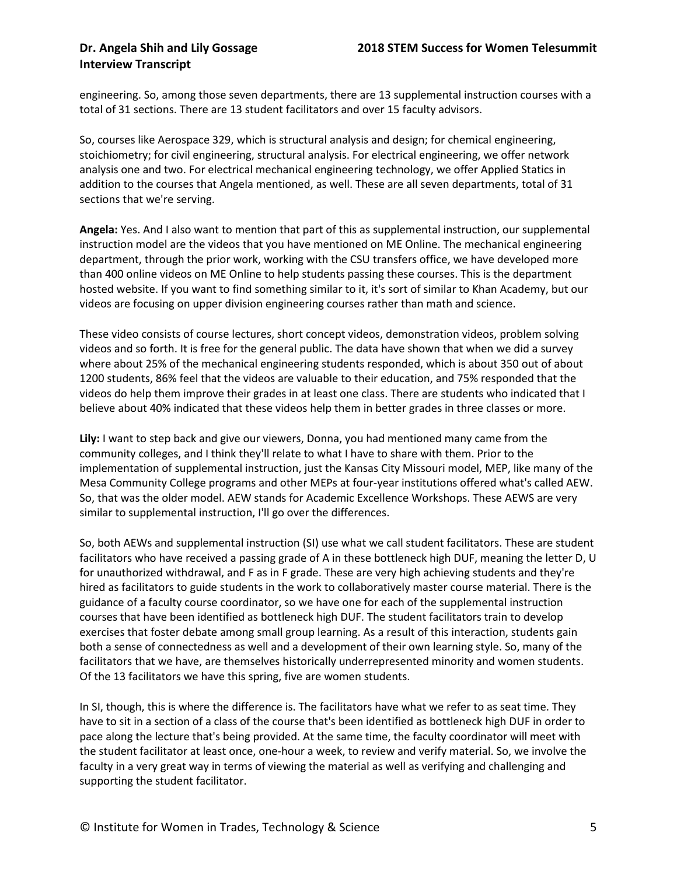engineering. So, among those seven departments, there are 13 supplemental instruction courses with a total of 31 sections. There are 13 student facilitators and over 15 faculty advisors.

So, courses like Aerospace 329, which is structural analysis and design; for chemical engineering, stoichiometry; for civil engineering, structural analysis. For electrical engineering, we offer network analysis one and two. For electrical mechanical engineering technology, we offer Applied Statics in addition to the courses that Angela mentioned, as well. These are all seven departments, total of 31 sections that we're serving.

**Angela:** Yes. And I also want to mention that part of this as supplemental instruction, our supplemental instruction model are the videos that you have mentioned on ME Online. The mechanical engineering department, through the prior work, working with the CSU transfers office, we have developed more than 400 online videos on ME Online to help students passing these courses. This is the department hosted website. If you want to find something similar to it, it's sort of similar to Khan Academy, but our videos are focusing on upper division engineering courses rather than math and science.

These video consists of course lectures, short concept videos, demonstration videos, problem solving videos and so forth. It is free for the general public. The data have shown that when we did a survey where about 25% of the mechanical engineering students responded, which is about 350 out of about 1200 students, 86% feel that the videos are valuable to their education, and 75% responded that the videos do help them improve their grades in at least one class. There are students who indicated that I believe about 40% indicated that these videos help them in better grades in three classes or more.

**Lily:** I want to step back and give our viewers, Donna, you had mentioned many came from the community colleges, and I think they'll relate to what I have to share with them. Prior to the implementation of supplemental instruction, just the Kansas City Missouri model, MEP, like many of the Mesa Community College programs and other MEPs at four-year institutions offered what's called AEW. So, that was the older model. AEW stands for Academic Excellence Workshops. These AEWS are very similar to supplemental instruction, I'll go over the differences.

So, both AEWs and supplemental instruction (SI) use what we call student facilitators. These are student facilitators who have received a passing grade of A in these bottleneck high DUF, meaning the letter D, U for unauthorized withdrawal, and F as in F grade. These are very high achieving students and they're hired as facilitators to guide students in the work to collaboratively master course material. There is the guidance of a faculty course coordinator, so we have one for each of the supplemental instruction courses that have been identified as bottleneck high DUF. The student facilitators train to develop exercises that foster debate among small group learning. As a result of this interaction, students gain both a sense of connectedness as well and a development of their own learning style. So, many of the facilitators that we have, are themselves historically underrepresented minority and women students. Of the 13 facilitators we have this spring, five are women students.

In SI, though, this is where the difference is. The facilitators have what we refer to as seat time. They have to sit in a section of a class of the course that's been identified as bottleneck high DUF in order to pace along the lecture that's being provided. At the same time, the faculty coordinator will meet with the student facilitator at least once, one-hour a week, to review and verify material. So, we involve the faculty in a very great way in terms of viewing the material as well as verifying and challenging and supporting the student facilitator.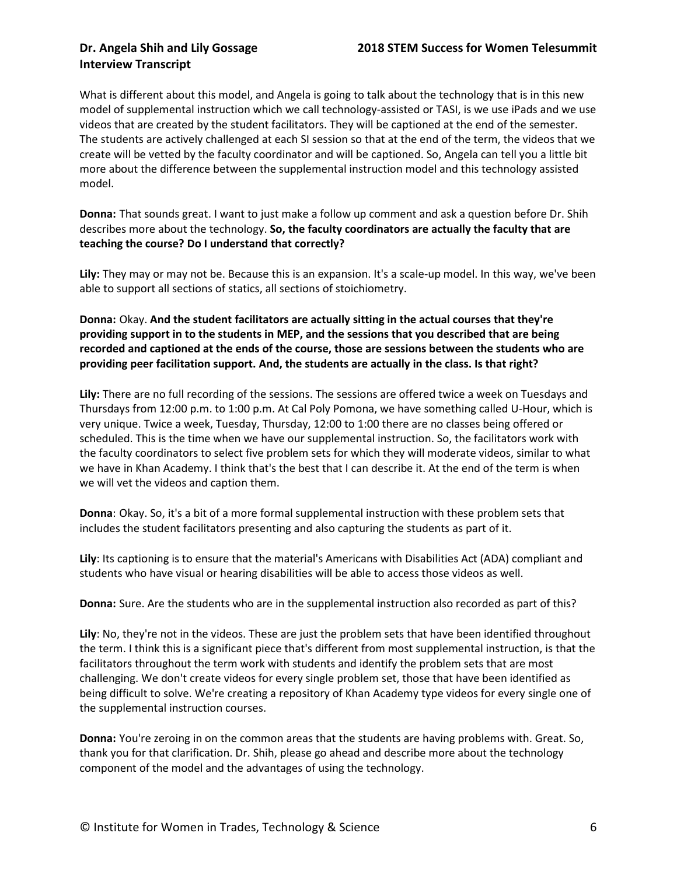What is different about this model, and Angela is going to talk about the technology that is in this new model of supplemental instruction which we call technology-assisted or TASI, is we use iPads and we use videos that are created by the student facilitators. They will be captioned at the end of the semester. The students are actively challenged at each SI session so that at the end of the term, the videos that we create will be vetted by the faculty coordinator and will be captioned. So, Angela can tell you a little bit more about the difference between the supplemental instruction model and this technology assisted model.

**Donna:** That sounds great. I want to just make a follow up comment and ask a question before Dr. Shih describes more about the technology. **So, the faculty coordinators are actually the faculty that are teaching the course? Do I understand that correctly?**

**Lily:** They may or may not be. Because this is an expansion. It's a scale-up model. In this way, we've been able to support all sections of statics, all sections of stoichiometry.

**Donna:** Okay. **And the student facilitators are actually sitting in the actual courses that they're providing support in to the students in MEP, and the sessions that you described that are being recorded and captioned at the ends of the course, those are sessions between the students who are providing peer facilitation support. And, the students are actually in the class. Is that right?**

**Lily:** There are no full recording of the sessions. The sessions are offered twice a week on Tuesdays and Thursdays from 12:00 p.m. to 1:00 p.m. At Cal Poly Pomona, we have something called U-Hour, which is very unique. Twice a week, Tuesday, Thursday, 12:00 to 1:00 there are no classes being offered or scheduled. This is the time when we have our supplemental instruction. So, the facilitators work with the faculty coordinators to select five problem sets for which they will moderate videos, similar to what we have in Khan Academy. I think that's the best that I can describe it. At the end of the term is when we will vet the videos and caption them.

**Donna**: Okay. So, it's a bit of a more formal supplemental instruction with these problem sets that includes the student facilitators presenting and also capturing the students as part of it.

**Lily**: Its captioning is to ensure that the material's Americans with Disabilities Act (ADA) compliant and students who have visual or hearing disabilities will be able to access those videos as well.

**Donna:** Sure. Are the students who are in the supplemental instruction also recorded as part of this?

**Lily**: No, they're not in the videos. These are just the problem sets that have been identified throughout the term. I think this is a significant piece that's different from most supplemental instruction, is that the facilitators throughout the term work with students and identify the problem sets that are most challenging. We don't create videos for every single problem set, those that have been identified as being difficult to solve. We're creating a repository of Khan Academy type videos for every single one of the supplemental instruction courses.

**Donna:** You're zeroing in on the common areas that the students are having problems with. Great. So, thank you for that clarification. Dr. Shih, please go ahead and describe more about the technology component of the model and the advantages of using the technology.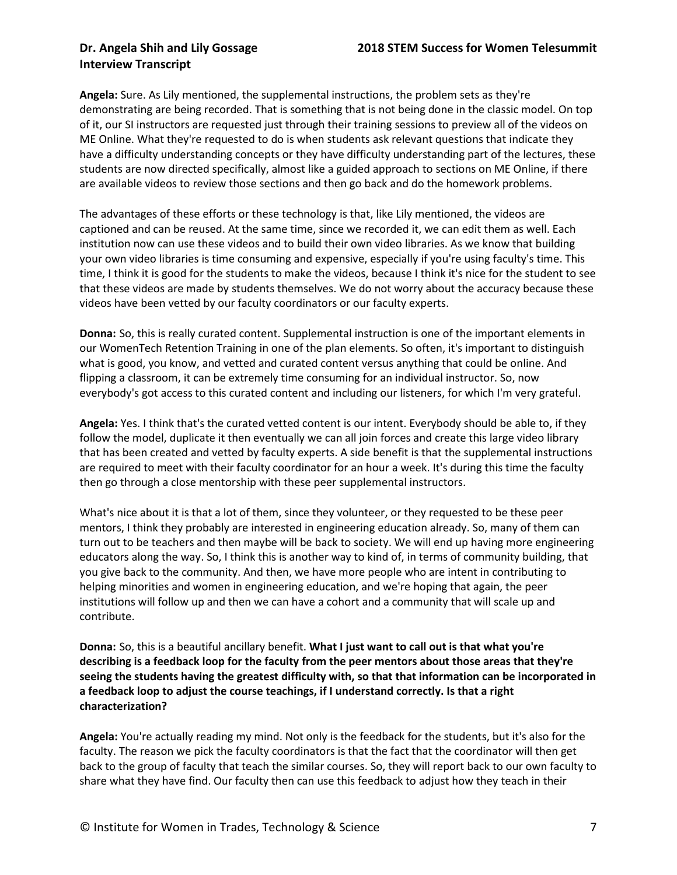**Angela:** Sure. As Lily mentioned, the supplemental instructions, the problem sets as they're demonstrating are being recorded. That is something that is not being done in the classic model. On top of it, our SI instructors are requested just through their training sessions to preview all of the videos on ME Online. What they're requested to do is when students ask relevant questions that indicate they have a difficulty understanding concepts or they have difficulty understanding part of the lectures, these students are now directed specifically, almost like a guided approach to sections on ME Online, if there are available videos to review those sections and then go back and do the homework problems.

The advantages of these efforts or these technology is that, like Lily mentioned, the videos are captioned and can be reused. At the same time, since we recorded it, we can edit them as well. Each institution now can use these videos and to build their own video libraries. As we know that building your own video libraries is time consuming and expensive, especially if you're using faculty's time. This time, I think it is good for the students to make the videos, because I think it's nice for the student to see that these videos are made by students themselves. We do not worry about the accuracy because these videos have been vetted by our faculty coordinators or our faculty experts.

**Donna:** So, this is really curated content. Supplemental instruction is one of the important elements in our WomenTech Retention Training in one of the plan elements. So often, it's important to distinguish what is good, you know, and vetted and curated content versus anything that could be online. And flipping a classroom, it can be extremely time consuming for an individual instructor. So, now everybody's got access to this curated content and including our listeners, for which I'm very grateful.

**Angela:** Yes. I think that's the curated vetted content is our intent. Everybody should be able to, if they follow the model, duplicate it then eventually we can all join forces and create this large video library that has been created and vetted by faculty experts. A side benefit is that the supplemental instructions are required to meet with their faculty coordinator for an hour a week. It's during this time the faculty then go through a close mentorship with these peer supplemental instructors.

What's nice about it is that a lot of them, since they volunteer, or they requested to be these peer mentors, I think they probably are interested in engineering education already. So, many of them can turn out to be teachers and then maybe will be back to society. We will end up having more engineering educators along the way. So, I think this is another way to kind of, in terms of community building, that you give back to the community. And then, we have more people who are intent in contributing to helping minorities and women in engineering education, and we're hoping that again, the peer institutions will follow up and then we can have a cohort and a community that will scale up and contribute.

**Donna:** So, this is a beautiful ancillary benefit. **What I just want to call out is that what you're describing is a feedback loop for the faculty from the peer mentors about those areas that they're seeing the students having the greatest difficulty with, so that that information can be incorporated in a feedback loop to adjust the course teachings, if I understand correctly. Is that a right characterization?**

**Angela:** You're actually reading my mind. Not only is the feedback for the students, but it's also for the faculty. The reason we pick the faculty coordinators is that the fact that the coordinator will then get back to the group of faculty that teach the similar courses. So, they will report back to our own faculty to share what they have find. Our faculty then can use this feedback to adjust how they teach in their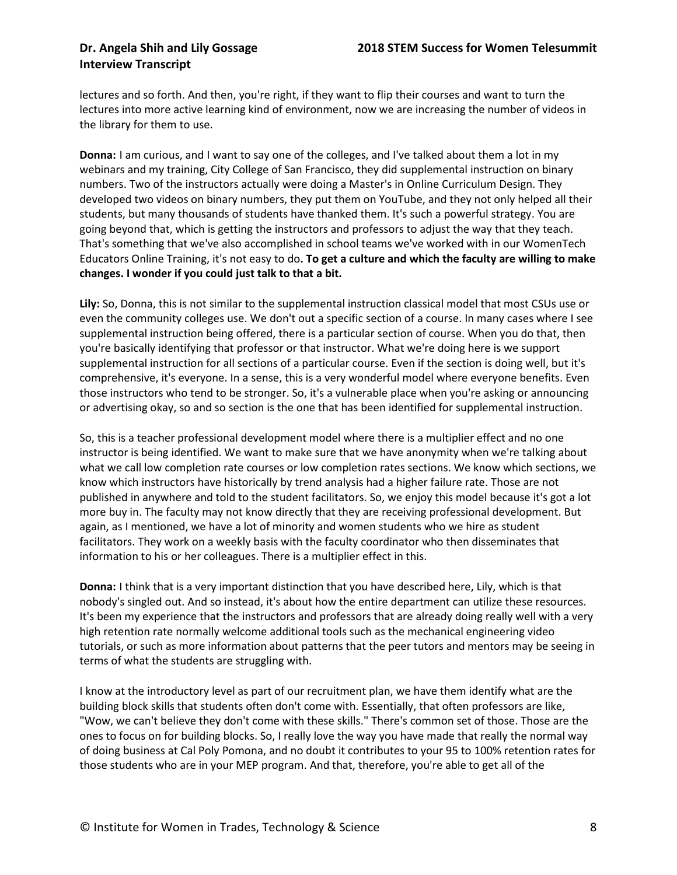lectures and so forth. And then, you're right, if they want to flip their courses and want to turn the lectures into more active learning kind of environment, now we are increasing the number of videos in the library for them to use.

**Donna:** I am curious, and I want to say one of the colleges, and I've talked about them a lot in my webinars and my training, City College of San Francisco, they did supplemental instruction on binary numbers. Two of the instructors actually were doing a Master's in Online Curriculum Design. They developed two videos on binary numbers, they put them on YouTube, and they not only helped all their students, but many thousands of students have thanked them. It's such a powerful strategy. You are going beyond that, which is getting the instructors and professors to adjust the way that they teach. That's something that we've also accomplished in school teams we've worked with in our WomenTech Educators Online Training, it's not easy to do**. To get a culture and which the faculty are willing to make changes. I wonder if you could just talk to that a bit.**

**Lily:** So, Donna, this is not similar to the supplemental instruction classical model that most CSUs use or even the community colleges use. We don't out a specific section of a course. In many cases where I see supplemental instruction being offered, there is a particular section of course. When you do that, then you're basically identifying that professor or that instructor. What we're doing here is we support supplemental instruction for all sections of a particular course. Even if the section is doing well, but it's comprehensive, it's everyone. In a sense, this is a very wonderful model where everyone benefits. Even those instructors who tend to be stronger. So, it's a vulnerable place when you're asking or announcing or advertising okay, so and so section is the one that has been identified for supplemental instruction.

So, this is a teacher professional development model where there is a multiplier effect and no one instructor is being identified. We want to make sure that we have anonymity when we're talking about what we call low completion rate courses or low completion rates sections. We know which sections, we know which instructors have historically by trend analysis had a higher failure rate. Those are not published in anywhere and told to the student facilitators. So, we enjoy this model because it's got a lot more buy in. The faculty may not know directly that they are receiving professional development. But again, as I mentioned, we have a lot of minority and women students who we hire as student facilitators. They work on a weekly basis with the faculty coordinator who then disseminates that information to his or her colleagues. There is a multiplier effect in this.

**Donna:** I think that is a very important distinction that you have described here, Lily, which is that nobody's singled out. And so instead, it's about how the entire department can utilize these resources. It's been my experience that the instructors and professors that are already doing really well with a very high retention rate normally welcome additional tools such as the mechanical engineering video tutorials, or such as more information about patterns that the peer tutors and mentors may be seeing in terms of what the students are struggling with.

I know at the introductory level as part of our recruitment plan, we have them identify what are the building block skills that students often don't come with. Essentially, that often professors are like, "Wow, we can't believe they don't come with these skills." There's common set of those. Those are the ones to focus on for building blocks. So, I really love the way you have made that really the normal way of doing business at Cal Poly Pomona, and no doubt it contributes to your 95 to 100% retention rates for those students who are in your MEP program. And that, therefore, you're able to get all of the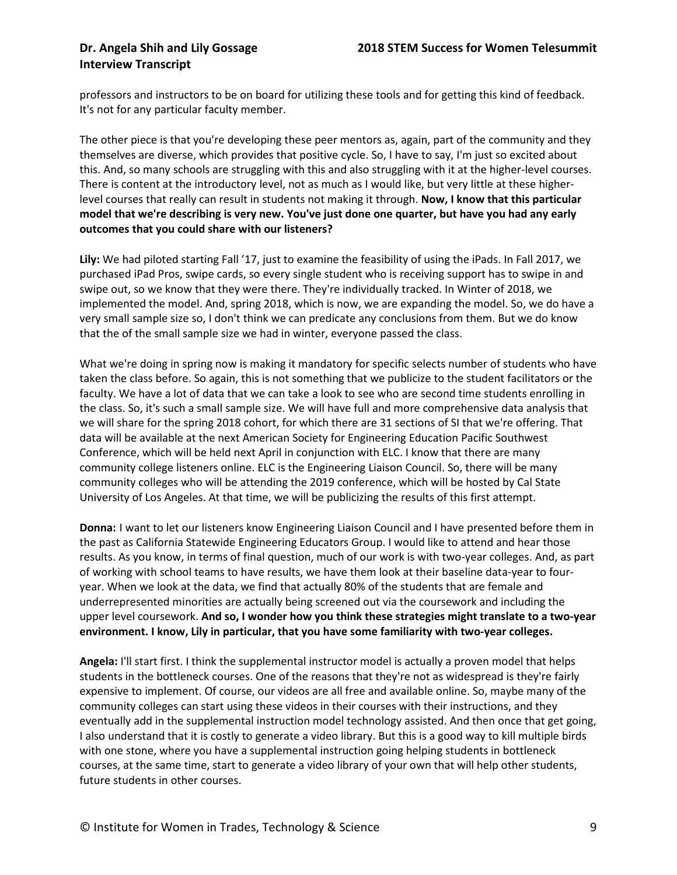professors and instructors to be on board for utilizing these tools and for getting this kind of feedback. It's not for any particular faculty member.

The other piece is that you're developing these peer mentors as, again, part of the community and they themselves are diverse, which provides that positive cycle. So, I have to say, I'm just so excited about this. And, so many schools are struggling with this and also struggling with it at the higher-level courses. There is content at the introductory level, not as much as I would like, but very little at these higherlevel courses that really can result in students not making it through. **Now, I know that this particular model that we're describing is very new. You've just done one quarter, but have you had any early outcomes that you could share with our listeners?**

**Lily:** We had piloted starting Fall '17, just to examine the feasibility of using the iPads. In Fall 2017, we purchased iPad Pros, swipe cards, so every single student who is receiving support has to swipe in and swipe out, so we know that they were there. They're individually tracked. In Winter of 2018, we implemented the model. And, spring 2018, which is now, we are expanding the model. So, we do have a very small sample size so, I don't think we can predicate any conclusions from them. But we do know that the of the small sample size we had in winter, everyone passed the class.

What we're doing in spring now is making it mandatory for specific selects number of students who have taken the class before. So again, this is not something that we publicize to the student facilitators or the faculty. We have a lot of data that we can take a look to see who are second time students enrolling in the class. So, it's such a small sample size. We will have full and more comprehensive data analysis that we will share for the spring 2018 cohort, for which there are 31 sections of SI that we're offering. That data will be available at the next American Society for Engineering Education Pacific Southwest Conference, which will be held next April in conjunction with ELC. I know that there are many community college listeners online. ELC is the Engineering Liaison Council. So, there will be many community colleges who will be attending the 2019 conference, which will be hosted by Cal State University of Los Angeles. At that time, we will be publicizing the results of this first attempt.

**Donna:** I want to let our listeners know Engineering Liaison Council and I have presented before them in the past as California Statewide Engineering Educators Group. I would like to attend and hear those results. As you know, in terms of final question, much of our work is with two-year colleges. And, as part of working with school teams to have results, we have them look at their baseline data-year to fouryear. When we look at the data, we find that actually 80% of the students that are female and underrepresented minorities are actually being screened out via the coursework and including the upper level coursework. **And so, I wonder how you think these strategies might translate to a two-year environment. I know, Lily in particular, that you have some familiarity with two-year colleges.**

**Angela:** I'll start first. I think the supplemental instructor model is actually a proven model that helps students in the bottleneck courses. One of the reasons that they're not as widespread is they're fairly expensive to implement. Of course, our videos are all free and available online. So, maybe many of the community colleges can start using these videos in their courses with their instructions, and they eventually add in the supplemental instruction model technology assisted. And then once that get going, I also understand that it is costly to generate a video library. But this is a good way to kill multiple birds with one stone, where you have a supplemental instruction going helping students in bottleneck courses, at the same time, start to generate a video library of your own that will help other students, future students in other courses.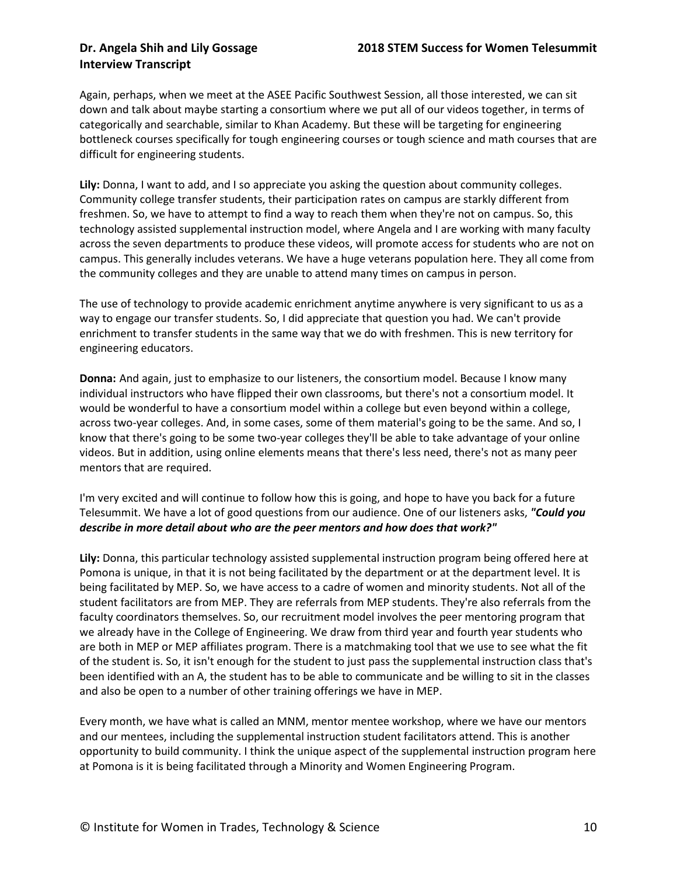Again, perhaps, when we meet at the ASEE Pacific Southwest Session, all those interested, we can sit down and talk about maybe starting a consortium where we put all of our videos together, in terms of categorically and searchable, similar to Khan Academy. But these will be targeting for engineering bottleneck courses specifically for tough engineering courses or tough science and math courses that are difficult for engineering students.

**Lily:** Donna, I want to add, and I so appreciate you asking the question about community colleges. Community college transfer students, their participation rates on campus are starkly different from freshmen. So, we have to attempt to find a way to reach them when they're not on campus. So, this technology assisted supplemental instruction model, where Angela and I are working with many faculty across the seven departments to produce these videos, will promote access for students who are not on campus. This generally includes veterans. We have a huge veterans population here. They all come from the community colleges and they are unable to attend many times on campus in person.

The use of technology to provide academic enrichment anytime anywhere is very significant to us as a way to engage our transfer students. So, I did appreciate that question you had. We can't provide enrichment to transfer students in the same way that we do with freshmen. This is new territory for engineering educators.

**Donna:** And again, just to emphasize to our listeners, the consortium model. Because I know many individual instructors who have flipped their own classrooms, but there's not a consortium model. It would be wonderful to have a consortium model within a college but even beyond within a college, across two-year colleges. And, in some cases, some of them material's going to be the same. And so, I know that there's going to be some two-year colleges they'll be able to take advantage of your online videos. But in addition, using online elements means that there's less need, there's not as many peer mentors that are required.

I'm very excited and will continue to follow how this is going, and hope to have you back for a future Telesummit. We have a lot of good questions from our audience. One of our listeners asks, *"Could you describe in more detail about who are the peer mentors and how does that work?"*

**Lily:** Donna, this particular technology assisted supplemental instruction program being offered here at Pomona is unique, in that it is not being facilitated by the department or at the department level. It is being facilitated by MEP. So, we have access to a cadre of women and minority students. Not all of the student facilitators are from MEP. They are referrals from MEP students. They're also referrals from the faculty coordinators themselves. So, our recruitment model involves the peer mentoring program that we already have in the College of Engineering. We draw from third year and fourth year students who are both in MEP or MEP affiliates program. There is a matchmaking tool that we use to see what the fit of the student is. So, it isn't enough for the student to just pass the supplemental instruction class that's been identified with an A, the student has to be able to communicate and be willing to sit in the classes and also be open to a number of other training offerings we have in MEP.

Every month, we have what is called an MNM, mentor mentee workshop, where we have our mentors and our mentees, including the supplemental instruction student facilitators attend. This is another opportunity to build community. I think the unique aspect of the supplemental instruction program here at Pomona is it is being facilitated through a Minority and Women Engineering Program.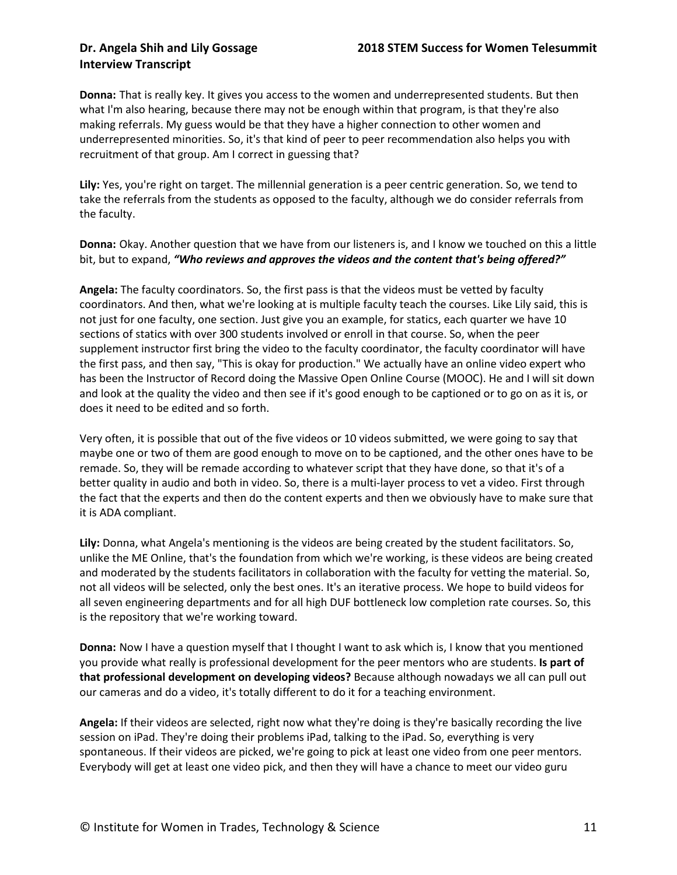**Donna:** That is really key. It gives you access to the women and underrepresented students. But then what I'm also hearing, because there may not be enough within that program, is that they're also making referrals. My guess would be that they have a higher connection to other women and underrepresented minorities. So, it's that kind of peer to peer recommendation also helps you with recruitment of that group. Am I correct in guessing that?

**Lily:** Yes, you're right on target. The millennial generation is a peer centric generation. So, we tend to take the referrals from the students as opposed to the faculty, although we do consider referrals from the faculty.

**Donna:** Okay. Another question that we have from our listeners is, and I know we touched on this a little bit, but to expand, *"Who reviews and approves the videos and the content that's being offered?"*

**Angela:** The faculty coordinators. So, the first pass is that the videos must be vetted by faculty coordinators. And then, what we're looking at is multiple faculty teach the courses. Like Lily said, this is not just for one faculty, one section. Just give you an example, for statics, each quarter we have 10 sections of statics with over 300 students involved or enroll in that course. So, when the peer supplement instructor first bring the video to the faculty coordinator, the faculty coordinator will have the first pass, and then say, "This is okay for production." We actually have an online video expert who has been the Instructor of Record doing the Massive Open Online Course (MOOC). He and I will sit down and look at the quality the video and then see if it's good enough to be captioned or to go on as it is, or does it need to be edited and so forth.

Very often, it is possible that out of the five videos or 10 videos submitted, we were going to say that maybe one or two of them are good enough to move on to be captioned, and the other ones have to be remade. So, they will be remade according to whatever script that they have done, so that it's of a better quality in audio and both in video. So, there is a multi-layer process to vet a video. First through the fact that the experts and then do the content experts and then we obviously have to make sure that it is ADA compliant.

**Lily:** Donna, what Angela's mentioning is the videos are being created by the student facilitators. So, unlike the ME Online, that's the foundation from which we're working, is these videos are being created and moderated by the students facilitators in collaboration with the faculty for vetting the material. So, not all videos will be selected, only the best ones. It's an iterative process. We hope to build videos for all seven engineering departments and for all high DUF bottleneck low completion rate courses. So, this is the repository that we're working toward.

**Donna:** Now I have a question myself that I thought I want to ask which is, I know that you mentioned you provide what really is professional development for the peer mentors who are students. **Is part of that professional development on developing videos?** Because although nowadays we all can pull out our cameras and do a video, it's totally different to do it for a teaching environment.

**Angela:** If their videos are selected, right now what they're doing is they're basically recording the live session on iPad. They're doing their problems iPad, talking to the iPad. So, everything is very spontaneous. If their videos are picked, we're going to pick at least one video from one peer mentors. Everybody will get at least one video pick, and then they will have a chance to meet our video guru